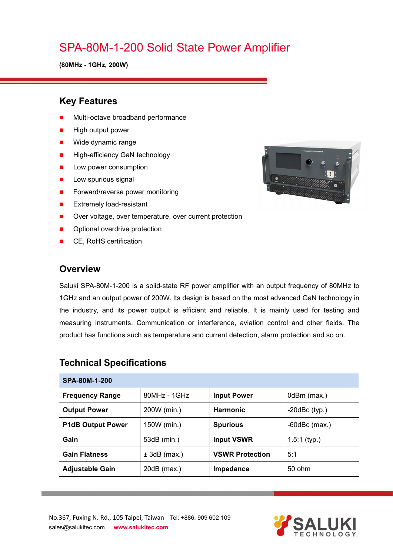## SPA-80M-1-200 Solid State Power Amplifier

**(80MHz - 1GHz, 200W)**

#### **Key Features**

- Multi-octave broadband performance
- High output power
- **Nide dynamic range**
- **High-efficiency GaN technology**
- **Low power consumption**
- $\blacksquare$  Low spurious signal
- Forward/reverse power monitoring
- **EXtremely load-resistant**
- Over voltage, over temperature, over current protection
- Optional overdrive protection
- CE, RoHS certification

#### **Overview**

Saluki SPA-80M-1-200 is a solid-state RF power amplifier with an output frequency of 80MHz to 1GHz and an output power of 200W. Its design is based on the most advanced GaN technology in the industry, and its power output is efficient and reliable. It is mainly used for testing and measuring instruments, Communication or interference, aviation control and other fields. The product has functions such as temperature and current detection, alarm protection and so on.

| SPA-80M-1-200            |                |                        |                    |  |
|--------------------------|----------------|------------------------|--------------------|--|
| <b>Frequency Range</b>   | $80MHz - 1GHz$ | <b>Input Power</b>     | 0dBm (max.)        |  |
| <b>Output Power</b>      | 200W (min.)    | <b>Harmonic</b>        | $-20$ dBc $(typ.)$ |  |
| <b>P1dB Output Power</b> | 150W (min.)    | <b>Spurious</b>        | $-60$ dBc $(max.)$ |  |
| Gain                     | 53dB (min.)    | <b>Input VSWR</b>      | $1.5:1$ (typ.)     |  |
| <b>Gain Flatness</b>     | $± 3dB$ (max.) | <b>VSWR Protection</b> | 5:1                |  |
| <b>Adjustable Gain</b>   | $20dB$ (max.)  | Impedance              | 50 ohm             |  |

#### **Technical Specifications**